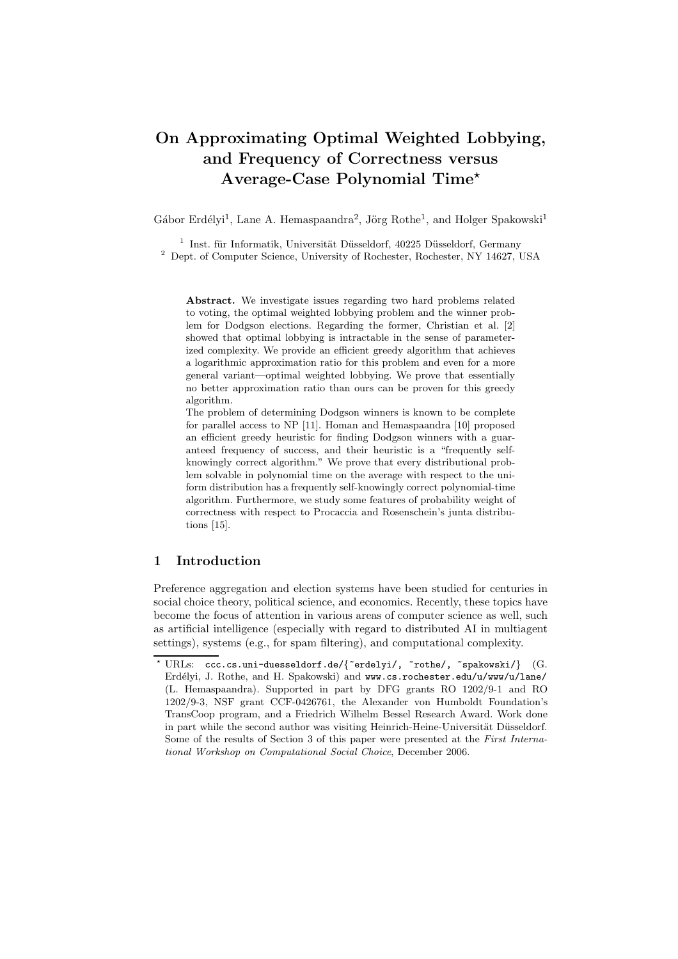# On Approximating Optimal Weighted Lobbying, and Frequency of Correctness versus Average-Case Polynomial Time?

Gábor Erdélyi<sup>1</sup>, Lane A. Hemaspaandra<sup>2</sup>, Jörg Rothe<sup>1</sup>, and Holger Spakowski<sup>1</sup>

<sup>1</sup> Inst. für Informatik, Universität Düsseldorf, 40225 Düsseldorf, Germany <sup>2</sup> Dept. of Computer Science, University of Rochester, Rochester, NY 14627, USA

Abstract. We investigate issues regarding two hard problems related to voting, the optimal weighted lobbying problem and the winner problem for Dodgson elections. Regarding the former, Christian et al. [2] showed that optimal lobbying is intractable in the sense of parameterized complexity. We provide an efficient greedy algorithm that achieves a logarithmic approximation ratio for this problem and even for a more general variant—optimal weighted lobbying. We prove that essentially no better approximation ratio than ours can be proven for this greedy algorithm

The problem of determining Dodgson winners is known to be complete for parallel access to NP [11]. Homan and Hemaspaandra [10] proposed an efficient greedy heuristic for finding Dodgson winners with a guaranteed frequency of success, and their heuristic is a "frequently selfknowingly correct algorithm." We prove that every distributional problem solvable in polynomial time on the average with respect to the uniform distribution has a frequently self-knowingly correct polynomial-time algorithm. Furthermore, we study some features of probability weight of correctness with respect to Procaccia and Rosenschein's junta distributions [15].

# 1 Introduction

Preference aggregation and election systems have been studied for centuries in social choice theory, political science, and economics. Recently, these topics have become the focus of attention in various areas of computer science as well, such as artificial intelligence (especially with regard to distributed AI in multiagent settings), systems (e.g., for spam filtering), and computational complexity.

<sup>\*</sup> URLs:  $ccc.cs.uni-duesself.de/{\textdegree}erdelyi/$ ,  $\textdegreerotte/$ ,  $\textdegreespakowski/}$  (G. Erdélyi, J. Rothe, and H. Spakowski) and www.cs.rochester.edu/u/www/u/lane/ (L. Hemaspaandra). Supported in part by DFG grants RO 1202/9-1 and RO 1202/9-3, NSF grant CCF-0426761, the Alexander von Humboldt Foundation's TransCoop program, and a Friedrich Wilhelm Bessel Research Award. Work done in part while the second author was visiting Heinrich-Heine-Universität Düsseldorf. Some of the results of Section 3 of this paper were presented at the First International Workshop on Computational Social Choice, December 2006.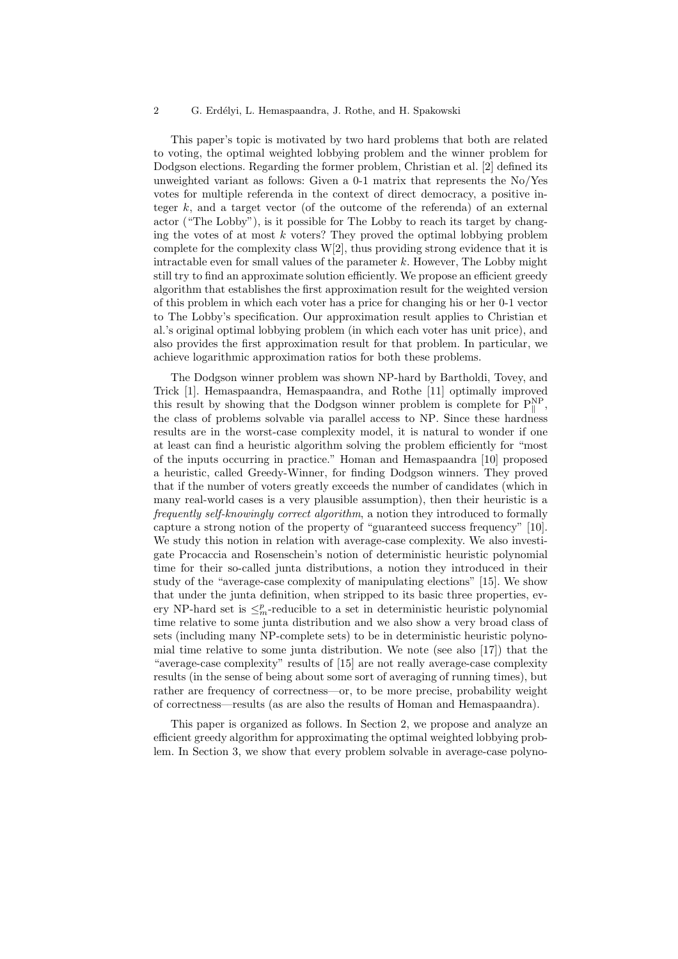This paper's topic is motivated by two hard problems that both are related to voting, the optimal weighted lobbying problem and the winner problem for Dodgson elections. Regarding the former problem, Christian et al. [2] defined its unweighted variant as follows: Given a 0-1 matrix that represents the No/Yes votes for multiple referenda in the context of direct democracy, a positive integer  $k$ , and a target vector (of the outcome of the referenda) of an external actor ("The Lobby"), is it possible for The Lobby to reach its target by changing the votes of at most  $k$  voters? They proved the optimal lobbying problem complete for the complexity class  $W[2]$ , thus providing strong evidence that it is intractable even for small values of the parameter  $k$ . However, The Lobby might still try to find an approximate solution efficiently. We propose an efficient greedy algorithm that establishes the first approximation result for the weighted version of this problem in which each voter has a price for changing his or her 0-1 vector to The Lobby's specification. Our approximation result applies to Christian et al.'s original optimal lobbying problem (in which each voter has unit price), and also provides the first approximation result for that problem. In particular, we achieve logarithmic approximation ratios for both these problems.

The Dodgson winner problem was shown NP-hard by Bartholdi, Tovey, and Trick [1]. Hemaspaandra, Hemaspaandra, and Rothe [11] optimally improved this result by showing that the Dodgson winner problem is complete for  $P_{\parallel}^{NP}$ , the class of problems solvable via parallel access to NP. Since these hardness results are in the worst-case complexity model, it is natural to wonder if one at least can find a heuristic algorithm solving the problem efficiently for "most of the inputs occurring in practice." Homan and Hemaspaandra [10] proposed a heuristic, called Greedy-Winner, for finding Dodgson winners. They proved that if the number of voters greatly exceeds the number of candidates (which in many real-world cases is a very plausible assumption), then their heuristic is a frequently self-knowingly correct algorithm, a notion they introduced to formally capture a strong notion of the property of "guaranteed success frequency" [10]. We study this notion in relation with average-case complexity. We also investigate Procaccia and Rosenschein's notion of deterministic heuristic polynomial time for their so-called junta distributions, a notion they introduced in their study of the "average-case complexity of manipulating elections" [15]. We show that under the junta definition, when stripped to its basic three properties, every NP-hard set is  $\leq^p_m$ -reducible to a set in deterministic heuristic polynomial time relative to some junta distribution and we also show a very broad class of sets (including many NP-complete sets) to be in deterministic heuristic polynomial time relative to some junta distribution. We note (see also [17]) that the "average-case complexity" results of [15] are not really average-case complexity results (in the sense of being about some sort of averaging of running times), but rather are frequency of correctness—or, to be more precise, probability weight of correctness—results (as are also the results of Homan and Hemaspaandra).

This paper is organized as follows. In Section 2, we propose and analyze an efficient greedy algorithm for approximating the optimal weighted lobbying problem. In Section 3, we show that every problem solvable in average-case polyno-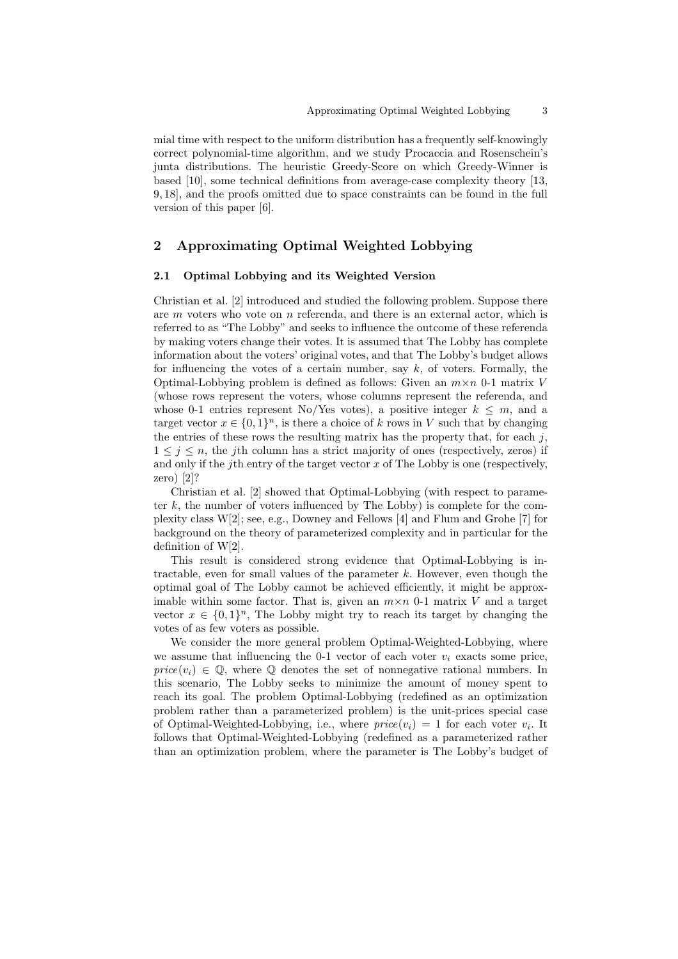mial time with respect to the uniform distribution has a frequently self-knowingly correct polynomial-time algorithm, and we study Procaccia and Rosenschein's junta distributions. The heuristic Greedy-Score on which Greedy-Winner is based [10], some technical definitions from average-case complexity theory [13, 9, 18], and the proofs omitted due to space constraints can be found in the full version of this paper [6].

# 2 Approximating Optimal Weighted Lobbying

#### 2.1 Optimal Lobbying and its Weighted Version

Christian et al. [2] introduced and studied the following problem. Suppose there are  $m$  voters who vote on  $n$  referenda, and there is an external actor, which is referred to as "The Lobby" and seeks to influence the outcome of these referenda by making voters change their votes. It is assumed that The Lobby has complete information about the voters' original votes, and that The Lobby's budget allows for influencing the votes of a certain number, say  $k$ , of voters. Formally, the Optimal-Lobbying problem is defined as follows: Given an  $m \times n$  0-1 matrix V (whose rows represent the voters, whose columns represent the referenda, and whose 0-1 entries represent No/Yes votes), a positive integer  $k \leq m$ , and a target vector  $x \in \{0,1\}^n$ , is there a choice of k rows in V such that by changing the entries of these rows the resulting matrix has the property that, for each  $j$ ,  $1 \leq j \leq n$ , the *j*th column has a strict majority of ones (respectively, zeros) if and only if the j<sup>th</sup> entry of the target vector  $x$  of The Lobby is one (respectively, zero) [2]?

Christian et al. [2] showed that Optimal-Lobbying (with respect to parameter  $k$ , the number of voters influenced by The Lobby) is complete for the complexity class W[2]; see, e.g., Downey and Fellows [4] and Flum and Grohe [7] for background on the theory of parameterized complexity and in particular for the definition of W[2].

This result is considered strong evidence that Optimal-Lobbying is intractable, even for small values of the parameter  $k$ . However, even though the optimal goal of The Lobby cannot be achieved efficiently, it might be approximable within some factor. That is, given an  $m \times n$  0-1 matrix V and a target vector  $x \in \{0,1\}^n$ , The Lobby might try to reach its target by changing the votes of as few voters as possible.

We consider the more general problem Optimal-Weighted-Lobbying, where we assume that influencing the 0-1 vector of each voter  $v_i$  exacts some price,  $price(v_i) \in \mathbb{Q}$ , where  $\mathbb Q$  denotes the set of nonnegative rational numbers. In this scenario, The Lobby seeks to minimize the amount of money spent to reach its goal. The problem Optimal-Lobbying (redefined as an optimization problem rather than a parameterized problem) is the unit-prices special case of Optimal-Weighted-Lobbying, i.e., where  $price(v_i) = 1$  for each voter  $v_i$ . It follows that Optimal-Weighted-Lobbying (redefined as a parameterized rather than an optimization problem, where the parameter is The Lobby's budget of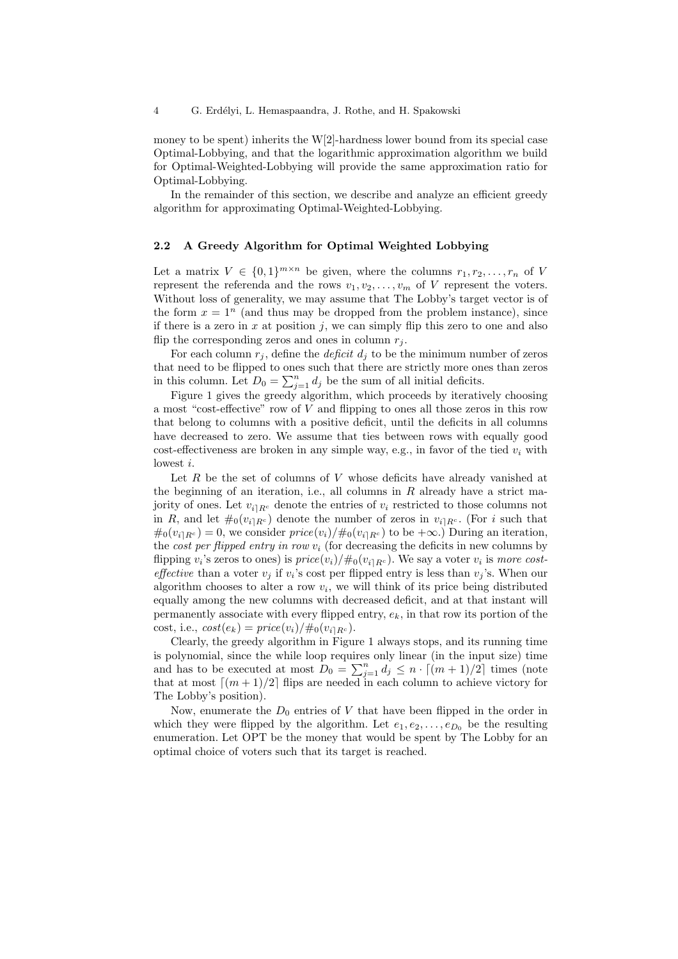money to be spent) inherits the  $W[2]$ -hardness lower bound from its special case Optimal-Lobbying, and that the logarithmic approximation algorithm we build for Optimal-Weighted-Lobbying will provide the same approximation ratio for Optimal-Lobbying.

In the remainder of this section, we describe and analyze an efficient greedy algorithm for approximating Optimal-Weighted-Lobbying.

#### 2.2 A Greedy Algorithm for Optimal Weighted Lobbying

Let a matrix  $V \in \{0,1\}^{m \times n}$  be given, where the columns  $r_1, r_2, \ldots, r_n$  of V represent the referenda and the rows  $v_1, v_2, \ldots, v_m$  of V represent the voters. Without loss of generality, we may assume that The Lobby's target vector is of the form  $x = 1^n$  (and thus may be dropped from the problem instance), since if there is a zero in  $x$  at position  $j$ , we can simply flip this zero to one and also flip the corresponding zeros and ones in column  $r_i$ .

For each column  $r_j$ , define the *deficit*  $d_j$  to be the minimum number of zeros that need to be flipped to ones such that there are strictly more ones than zeros in this column. Let  $D_0 = \sum_{j=1}^n d_j$  be the sum of all initial deficits.

Figure 1 gives the greedy algorithm, which proceeds by iteratively choosing a most "cost-effective" row of  $V$  and flipping to ones all those zeros in this row that belong to columns with a positive deficit, until the deficits in all columns have decreased to zero. We assume that ties between rows with equally good cost-effectiveness are broken in any simple way, e.g., in favor of the tied  $v_i$  with lowest i.

Let  $R$  be the set of columns of  $V$  whose deficits have already vanished at the beginning of an iteration, i.e., all columns in  $R$  already have a strict majority of ones. Let  $v_{i|Rc}$  denote the entries of  $v_i$  restricted to those columns not in R, and let  $\#_0(v_i_{Re})$  denote the number of zeros in  $v_i_{Re}$ . (For i such that  $\#_0(v_{i\vert Re}) = 0$ , we consider  $price(v_i)/\#_0(v_{i\vert Re})$  to be  $+\infty$ .) During an iteration, the cost per flipped entry in row  $v_i$  (for decreasing the deficits in new columns by flipping  $v_i$ 's zeros to ones) is  $price(v_i)/\#_0(v_{i\,Re})$ . We say a voter  $v_i$  is more cost*effective* than a voter  $v_j$  if  $v_i$ 's cost per flipped entry is less than  $v_j$ 's. When our algorithm chooses to alter a row  $v_i$ , we will think of its price being distributed equally among the new columns with decreased deficit, and at that instant will permanently associate with every flipped entry,  $e_k$ , in that row its portion of the cost, i.e.,  $cost(e_k) = price(v_i)/\#_0(v_{i|R^c})$ .

Clearly, the greedy algorithm in Figure 1 always stops, and its running time is polynomial, since the while loop requires only linear (in the input size) time and has to be executed at most  $D_0 = \sum_{j=1}^n d_j \leq n \cdot \lceil (m+1)/2 \rceil$  times (note that at most  $\lceil (m + 1)/2 \rceil$  flips are needed in each column to achieve victory for The Lobby's position).

Now, enumerate the  $D_0$  entries of V that have been flipped in the order in which they were flipped by the algorithm. Let  $e_1, e_2, \ldots, e_{D_0}$  be the resulting enumeration. Let OPT be the money that would be spent by The Lobby for an optimal choice of voters such that its target is reached.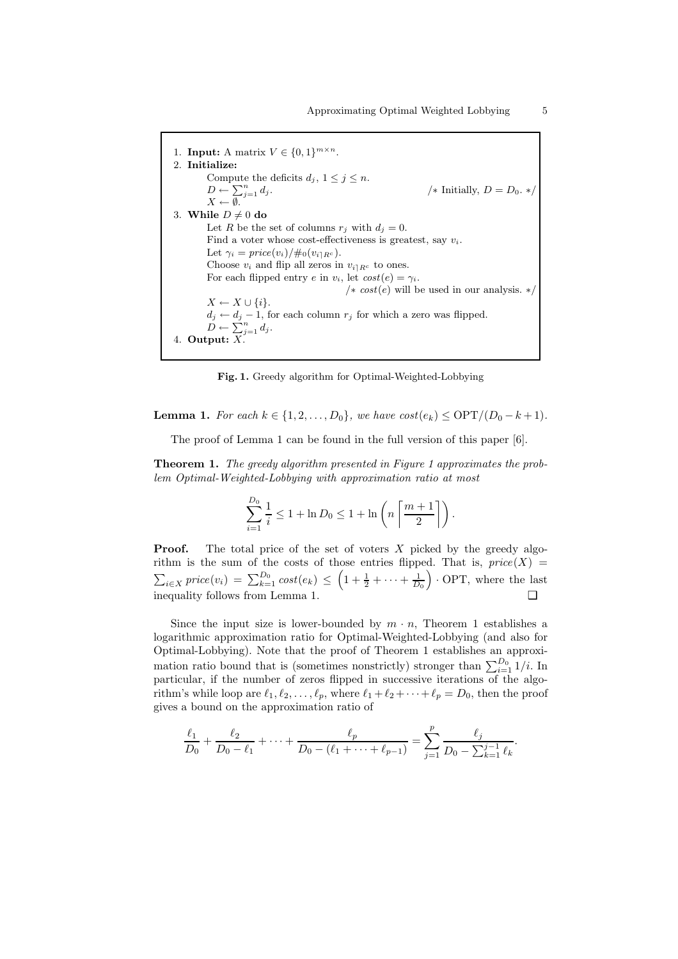1. **Input:** A matrix  $V \in \{0, 1\}^{m \times n}$ . 2. Initialize: Compute the deficits  $d_j$ ,  $1 \leq j \leq n$ .  $D \leftarrow \sum_{i=1}^n$ /∗ Initially,  $D = D_0$ . ∗/  $X \leftarrow \overline{\emptyset}$ . 3. While  $D \neq 0$  do Let R be the set of columns  $r_j$  with  $d_j = 0$ . Find a voter whose cost-effectiveness is greatest, say  $v_i$ . Let  $\gamma_i = \text{price}(v_i) / \#_0(v_{i \rceil R^c})$ . Choose  $v_i$  and flip all zeros in  $v_{i\,Re}$  to ones. For each flipped entry e in  $v_i$ , let  $cost(e) = \gamma_i$ . /\*  $cost(e)$  will be used in our analysis. \*/  $X \leftarrow X \cup \{i\}.$  $d_j \leftarrow d_j - 1$ , for each column  $r_j$  for which a zero was flipped.  $D \leftarrow \sum_{j=1}^n d_j.$ 4. Output:  $\overline{X}$ .

Fig. 1. Greedy algorithm for Optimal-Weighted-Lobbying

**Lemma 1.** For each  $k \in \{1, 2, \ldots, D_0\}$ , we have  $cost(e_k) \le \text{OPT}/(D_0 - k + 1)$ .

The proof of Lemma 1 can be found in the full version of this paper [6].

Theorem 1. The greedy algorithm presented in Figure 1 approximates the problem Optimal-Weighted-Lobbying with approximation ratio at most

$$
\sum_{i=1}^{D_0} \frac{1}{i} \le 1 + \ln D_0 \le 1 + \ln \left( n \left\lceil \frac{m+1}{2} \right\rceil \right).
$$

**Proof.** The total price of the set of voters  $X$  picked by the greedy algorithm is the sum of the costs of those entries flipped. That is,  $price(X)$  =  $\sum_{i\in X} price(v_i) = \sum_{k=1}^{D_0} cost(e_k) \leq \left(1 + \frac{1}{2} + \cdots + \frac{1}{D_0}\right) \cdot \text{OPT}$ , where the last inequality follows from Lemma 1. ❑

Since the input size is lower-bounded by  $m \cdot n$ , Theorem 1 establishes a logarithmic approximation ratio for Optimal-Weighted-Lobbying (and also for Optimal-Lobbying). Note that the proof of Theorem 1 establishes an approximation ratio bound that is (sometimes nonstrictly) stronger than  $\sum_{i=1}^{D_0} 1/i$ . In particular, if the number of zeros flipped in successive iterations of the algorithm's while loop are  $\ell_1, \ell_2, \ldots, \ell_p$ , where  $\ell_1 + \ell_2 + \cdots + \ell_p = D_0$ , then the proof gives a bound on the approximation ratio of

$$
\frac{\ell_1}{D_0} + \frac{\ell_2}{D_0 - \ell_1} + \dots + \frac{\ell_p}{D_0 - (\ell_1 + \dots + \ell_{p-1})} = \sum_{j=1}^p \frac{\ell_j}{D_0 - \sum_{k=1}^{j-1} \ell_k}.
$$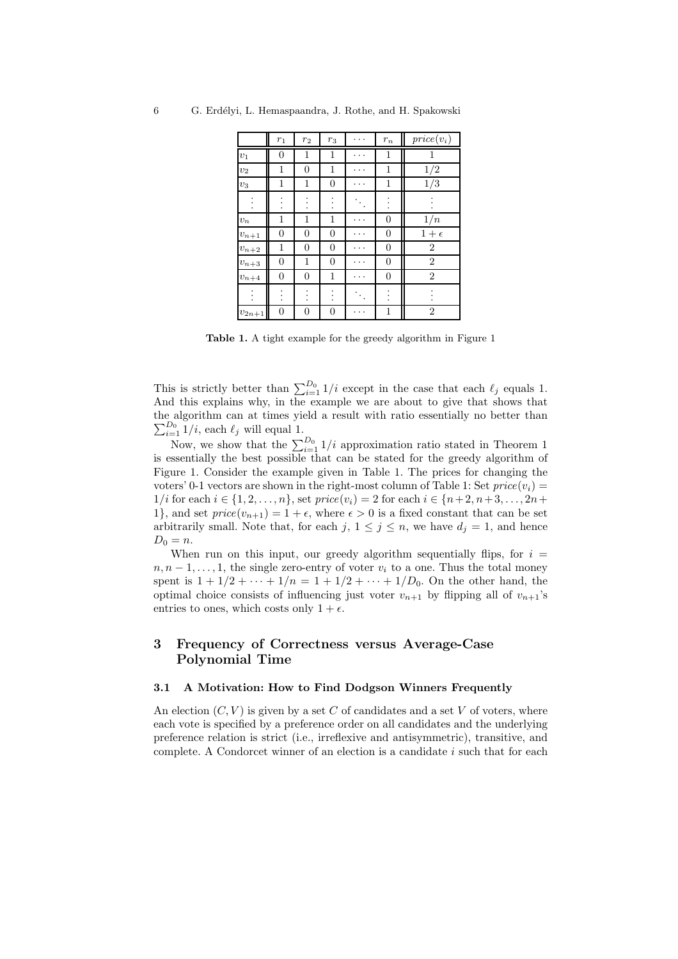|                        | $r_1$                | $r_{\rm 2}$    | $r_3$                |                        | $r_n$            | $\overline{price}(v_i)$ |
|------------------------|----------------------|----------------|----------------------|------------------------|------------------|-------------------------|
| $v_1$                  | 0                    | 1              | 1                    | .                      | 1                | 1                       |
| $v_2$                  | 1                    | $\overline{0}$ | 1                    | $\ddot{\phantom{0}}$   | 1                | 1/2                     |
| $v_3$                  | 1                    | 1              | $\overline{0}$       | $\cdot$                | 1                | 1/3                     |
|                        | $\ddot{\phantom{0}}$ |                | $\ddot{\phantom{0}}$ |                        |                  |                         |
| $\boldsymbol{v}_n$     | 1                    | 1              | 1                    |                        | $\overline{0}$   | 1/n                     |
| $v_{n+1}$              | 0                    | $\overline{0}$ | 0                    |                        | $\boldsymbol{0}$ | $1+\epsilon$            |
| $v_{n+2}$              | 1                    | 0              | 0                    |                        | $\boldsymbol{0}$ | $\overline{2}$          |
| $\boldsymbol{v}_{n+3}$ | 0                    | 1              | 0                    |                        | $\boldsymbol{0}$ | $\overline{2}$          |
| $v_{n+4}$              | $\overline{0}$       | 0              | 1                    |                        | $\overline{0}$   | $\overline{2}$          |
|                        |                      |                | $\bullet$            | $\ddot{\phantom{a}}$ . |                  |                         |
| $\upsilon_{2n+1}$      | 0                    | 0              | 0                    |                        | 1                | $\overline{2}$          |

Table 1. A tight example for the greedy algorithm in Figure 1

This is strictly better than  $\sum_{i=1}^{D_0} 1/i$  except in the case that each  $\ell_j$  equals 1. And this explains why, in the example we are about to give that shows that the algorithm can at times yield a result with ratio essentia lly no better than  $\sum_{i=1}^{D_0} 1/i$ , each  $\ell_j$  will equal 1.

Now, we show that the  $\sum_{i=1}^{D_0} 1/i$  approximation ratio stated in Theorem 1 is essentially the best possible that can be stated for the greedy algorithm of Figure 1. Consider the example given in Table 1. The prices for changing the voters' 0-1 vectors are shown in the right-most column of Table 1: Set  $price(v_i)$  =  $1/i$  for each  $i \in \{1, 2, ..., n\}$ , set  $price(v_i) = 2$  for each  $i \in \{n+2, n+3, ..., 2n+\}$ 1, and set  $price(v_{n+1}) = 1 + \epsilon$ , where  $\epsilon > 0$  is a fixed constant that can be set arbitrarily small. Note that, for each j,  $1 \leq j \leq n$ , we have  $d_j = 1$ , and hence  $D_0 = n$ .

When run on this input, our greedy algorithm sequentially flips, for  $i =$  $n, n-1, \ldots, 1$ , the single zero-entry of voter  $v_i$  to a one. Thus the total money spent is  $1 + 1/2 + \cdots + 1/n = 1 + 1/2 + \cdots + 1/D_0$ . On the other hand, the optimal choice consists of influencing just voter  $v_{n+1}$  by flipping all of  $v_{n+1}$ 's entries to ones, which costs only  $1 + \epsilon$ .

# 3 Frequency of Correctness versus Average-Case Polynomial Time

#### 3.1 A Motivation: How to Find Dodgson Winners Frequently

An election  $(C, V)$  is given by a set C of candidates and a set V of voters, where each vote is specified by a preference order on all candidates and the underlying preference relation is strict (i.e., irreflexive and antisymmetric), transitive, and complete. A Condorcet winner of an election is a candidate i such that for each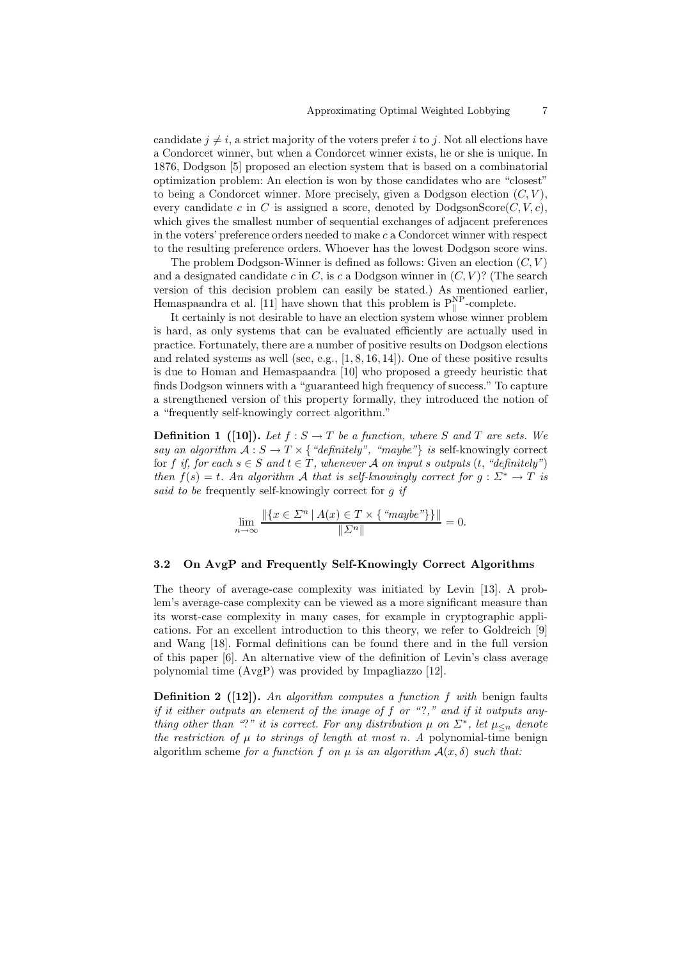candidate  $j \neq i$ , a strict majority of the voters prefer i to j. Not all elections have a Condorcet winner, but when a Condorcet winner exists, he or she is unique. In 1876, Dodgson [5] proposed an election system that is based on a combinatorial optimization problem: An election is won by those candidates who are "closest" to being a Condorcet winner. More precisely, given a Dodgson election  $(C, V)$ , every candidate c in C is assigned a score, denoted by  $\text{DodgsonScore}(C, V, c)$ , which gives the smallest number of sequential exchanges of adjacent preferences in the voters' preference orders needed to make  $c$  a Condorcet winner with respect to the resulting preference orders. Whoever has the lowest Dodgson score wins.

The problem Dodgson-Winner is defined as follows: Given an election  $(C, V)$ and a designated candidate c in C, is c a Dodgson winner in  $(C, V)$ ? (The search version of this decision problem can easily be stated.) As mentioned earlier, Hemaspaandra et al. [11] have shown that this problem is  $P_{\parallel}^{NP}$ -complete.

It certainly is not desirable to have an election system whose winner problem is hard, as only systems that can be evaluated efficiently are actually used in practice. Fortunately, there are a number of positive results on Dodgson elections and related systems as well (see, e.g.,  $[1, 8, 16, 14]$ ). One of these positive results is due to Homan and Hemaspaandra [10] who proposed a greedy heuristic that finds Dodgson winners with a "guaranteed high frequency of success." To capture a strengthened version of this property formally, they introduced the notion of a "frequently self-knowingly correct algorithm."

**Definition 1** ([10]). Let  $f : S \to T$  be a function, where S and T are sets. We say an algorithm  $A: S \to T \times \{$  "definitely", "maybe" is self-knowingly correct for f if, for each  $s \in S$  and  $t \in T$ , whenever A on input s outputs  $(t, "definitely")$ then  $f(s) = t$ . An algorithm A that is self-knowingly correct for  $g : \Sigma^* \to T$  is said to be frequently self-knowingly correct for g if

$$
\lim_{n \to \infty} \frac{\|\{x \in \Sigma^n \mid A(x) \in T \times \{\text{ "maybe"}\}\}\|}{\|\Sigma^n\|} = 0.
$$

#### 3.2 On AvgP and Frequently Self-Knowingly Correct Algorithms

The theory of average-case complexity was initiated by Levin [13]. A problem's average-case complexity can be viewed as a more significant measure than its worst-case complexity in many cases, for example in cryptographic applications. For an excellent introduction to this theory, we refer to Goldreich [9] and Wang [18]. Formal definitions can be found there and in the full version of this paper [6]. An alternative view of the definition of Levin's class average polynomial time (AvgP) was provided by Impagliazzo [12].

**Definition 2** ([12]). An algorithm computes a function f with benign faults if it either outputs an element of the image of  $f$  or "?," and if it outputs anything other than "?" it is correct. For any distribution  $\mu$  on  $\Sigma^*$ , let  $\mu_{\leq n}$  denote the restriction of  $\mu$  to strings of length at most n. A polynomial-time benign algorithm scheme for a function f on  $\mu$  is an algorithm  $\mathcal{A}(x, \delta)$  such that: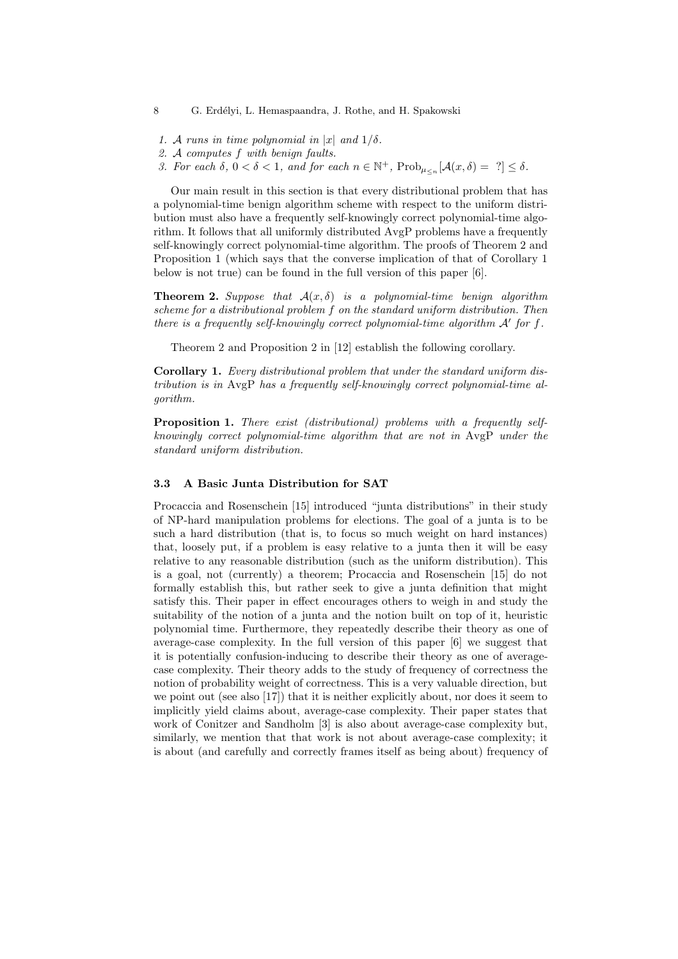- 1. A runs in time polynomial in  $|x|$  and  $1/\delta$ .
- 2. A computes f with benign faults.
- 3. For each  $\delta$ ,  $0 < \delta < 1$ , and for each  $n \in \mathbb{N}^+$ ,  $\text{Prob}_{\mu_{\leq n}}[\mathcal{A}(x,\delta) = ?] \leq \delta$ .

Our main result in this section is that every distributional problem that has a polynomial-time benign algorithm scheme with respect to the uniform distribution must also have a frequently self-knowingly correct polynomial-time algorithm. It follows that all uniformly distributed AvgP problems have a frequently self-knowingly correct polynomial-time algorithm. The proofs of Theorem 2 and Proposition 1 (which says that the converse implication of that of Corollary 1 below is not true) can be found in the full version of this paper [6].

**Theorem 2.** Suppose that  $A(x, \delta)$  is a polynomial-time benign algorithm scheme for a distributional problem f on the standard uniform distribution. Then there is a frequently self-knowingly correct polynomial-time algorithm  $A'$  for  $f$ .

Theorem 2 and Proposition 2 in [12] establish the following corollary.

Corollary 1. Every distributional problem that under the standard uniform distribution is in AvgP has a frequently self-knowingly correct polynomial-time algorithm.

Proposition 1. There exist (distributional) problems with a frequently selfknowingly correct polynomial-time algorithm that are not in AvgP under the standard uniform distribution.

#### 3.3 A Basic Junta Distribution for SAT

Procaccia and Rosenschein [15] introduced "junta distributions" in their study of NP-hard manipulation problems for elections. The goal of a junta is to be such a hard distribution (that is, to focus so much weight on hard instances) that, loosely put, if a problem is easy relative to a junta then it will be easy relative to any reasonable distribution (such as the uniform distribution). This is a goal, not (currently) a theorem; Procaccia and Rosenschein [15] do not formally establish this, but rather seek to give a junta definition that might satisfy this. Their paper in effect encourages others to weigh in and study the suitability of the notion of a junta and the notion built on top of it, heuristic polynomial time. Furthermore, they repeatedly describe their theory as one of average-case complexity. In the full version of this paper [6] we suggest that it is potentially confusion-inducing to describe their theory as one of averagecase complexity. Their theory adds to the study of frequency of correctness the notion of probability weight of correctness. This is a very valuable direction, but we point out (see also [17]) that it is neither explicitly about, nor does it seem to implicitly yield claims about, average-case complexity. Their paper states that work of Conitzer and Sandholm [3] is also about average-case complexity but, similarly, we mention that that work is not about average-case complexity; it is about (and carefully and correctly frames itself as being about) frequency of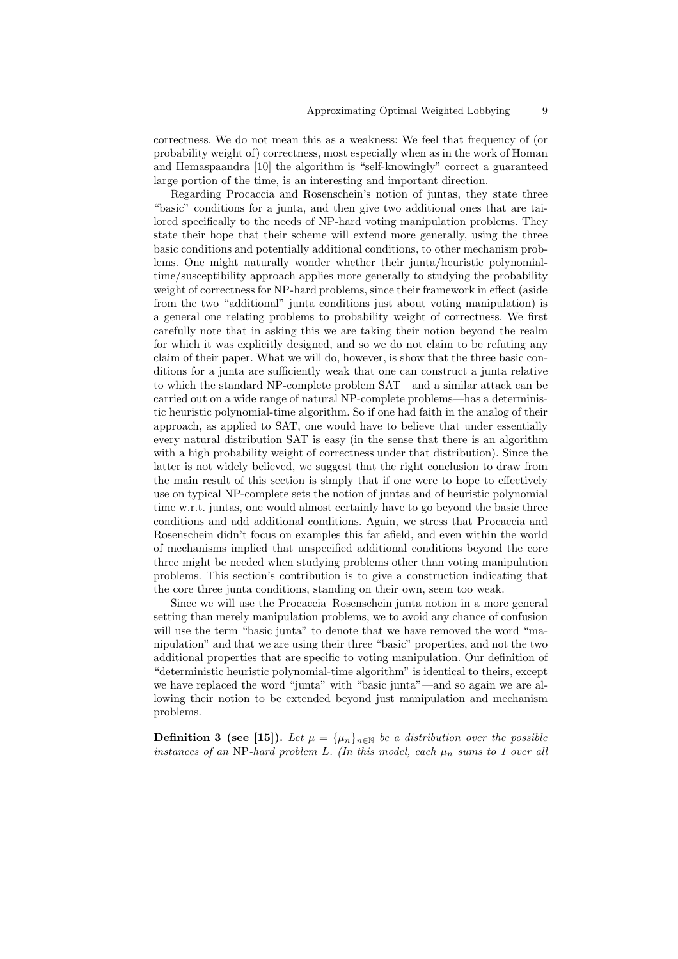correctness. We do not mean this as a weakness: We feel that frequency of (or probability weight of) correctness, most especially when as in the work of Homan and Hemaspaandra [10] the algorithm is "self-knowingly" correct a guaranteed large portion of the time, is an interesting and important direction.

Regarding Procaccia and Rosenschein's notion of juntas, they state three "basic" conditions for a junta, and then give two additional ones that are tailored specifically to the needs of NP-hard voting manipulation problems. They state their hope that their scheme will extend more generally, using the three basic conditions and potentially additional conditions, to other mechanism problems. One might naturally wonder whether their junta/heuristic polynomialtime/susceptibility approach applies more generally to studying the probability weight of correctness for NP-hard problems, since their framework in effect (aside from the two "additional" junta conditions just about voting manipulation) is a general one relating problems to probability weight of correctness. We first carefully note that in asking this we are taking their notion beyond the realm for which it was explicitly designed, and so we do not claim to be refuting any claim of their paper. What we will do, however, is show that the three basic conditions for a junta are sufficiently weak that one can construct a junta relative to which the standard NP-complete problem SAT—and a similar attack can be carried out on a wide range of natural NP-complete problems—has a deterministic heuristic polynomial-time algorithm. So if one had faith in the analog of their approach, as applied to SAT, one would have to believe that under essentially every natural distribution SAT is easy (in the sense that there is an algorithm with a high probability weight of correctness under that distribution). Since the latter is not widely believed, we suggest that the right conclusion to draw from the main result of this section is simply that if one were to hope to effectively use on typical NP-complete sets the notion of juntas and of heuristic polynomial time w.r.t. juntas, one would almost certainly have to go beyond the basic three conditions and add additional conditions. Again, we stress that Procaccia and Rosenschein didn't focus on examples this far afield, and even within the world of mechanisms implied that unspecified additional conditions beyond the core three might be needed when studying problems other than voting manipulation problems. This section's contribution is to give a construction indicating that the core three junta conditions, standing on their own, seem too weak.

Since we will use the Procaccia–Rosenschein junta notion in a more general setting than merely manipulation problems, we to avoid any chance of confusion will use the term "basic junta" to denote that we have removed the word "manipulation" and that we are using their three "basic" properties, and not the two additional properties that are specific to voting manipulation. Our definition of "deterministic heuristic polynomial-time algorithm" is identical to theirs, except we have replaced the word "junta" with "basic junta"—and so again we are allowing their notion to be extended beyond just manipulation and mechanism problems.

**Definition 3** (see [15]). Let  $\mu = {\mu_n}_{n \in \mathbb{N}}$  be a distribution over the possible instances of an NP-hard problem L. (In this model, each  $\mu_n$  sums to 1 over all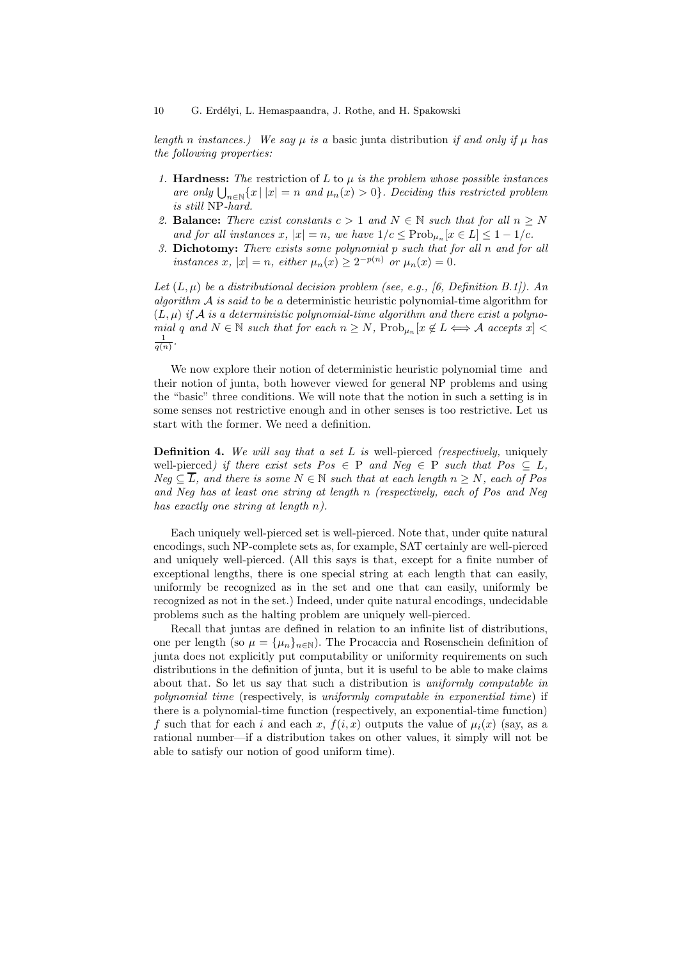## 10 G. Erdélyi, L. Hemaspaandra, J. Rothe, and H. Spakowski

length n instances.) We say  $\mu$  is a basic junta distribution if and only if  $\mu$  has the following properties:

- 1. **Hardness:** The restriction of  $L$  to  $\mu$  is the problem whose possible instances are only  $\bigcup_{n\in\mathbb{N}}\{x\,|\,|x|=n\,$  and  $\mu_n(x)>0\}$ . Deciding this restricted problem is still NP-hard.
- 2. **Balance:** There exist constants  $c > 1$  and  $N \in \mathbb{N}$  such that for all  $n \geq N$ and for all instances x,  $|x| = n$ , we have  $1/c \leq \text{Prob}_{\mu_n}[x \in L] \leq 1 - 1/c$ .
- 3. Dichotomy: There exists some polynomial p such that for all n and for all instances x,  $|x| = n$ , either  $\mu_n(x) \geq 2^{-p(n)}$  or  $\mu_n(x) = 0$ .

Let  $(L, \mu)$  be a distributional decision problem (see, e.g., [6, Definition B.1]). An algorithm  $A$  is said to be a deterministic heuristic polynomial-time algorithm for  $(L, \mu)$  if A is a deterministic polynomial-time algorithm and there exist a polynomial q and  $N \in \mathbb{N}$  such that for each  $n \geq N$ ,  $\text{Prob}_{\mu_n}[x \notin L \Longleftrightarrow \mathcal{A}$  accepts  $x]$  $\frac{1}{q(n)}$ .

We now explore their notion of deterministic heuristic polynomial time and their notion of junta, both however viewed for general NP problems and using the "basic" three conditions. We will note that the notion in such a setting is in some senses not restrictive enough and in other senses is too restrictive. Let us start with the former. We need a definition.

**Definition 4.** We will say that a set L is well-pierced (respectively, uniquely well-pierced) if there exist sets  $Pos \in P$  and  $Neg \in P$  such that  $Pos \subseteq L$ ,  $Neg \subseteq \overline{L}$ , and there is some  $N \in \mathbb{N}$  such that at each length  $n \geq N$ , each of Pos and Neg has at least one string at length n (respectively, each of Pos and Neg has exactly one string at length n).

Each uniquely well-pierced set is well-pierced. Note that, under quite natural encodings, such NP-complete sets as, for example, SAT certainly are well-pierced and uniquely well-pierced. (All this says is that, except for a finite number of exceptional lengths, there is one special string at each length that can easily, uniformly be recognized as in the set and one that can easily, uniformly be recognized as not in the set.) Indeed, under quite natural encodings, undecidable problems such as the halting problem are uniquely well-pierced.

Recall that juntas are defined in relation to an infinite list of distributions, one per length (so  $\mu = {\mu_n}_{n \in \mathbb{N}}$ ). The Procaccia and Rosenschein definition of junta does not explicitly put computability or uniformity requirements on such distributions in the definition of junta, but it is useful to be able to make claims about that. So let us say that such a distribution is uniformly computable in polynomial time (respectively, is uniformly computable in exponential time) if there is a polynomial-time function (respectively, an exponential-time function) f such that for each i and each x,  $f(i, x)$  outputs the value of  $\mu_i(x)$  (say, as a rational number—if a distribution takes on other values, it simply will not be able to satisfy our notion of good uniform time).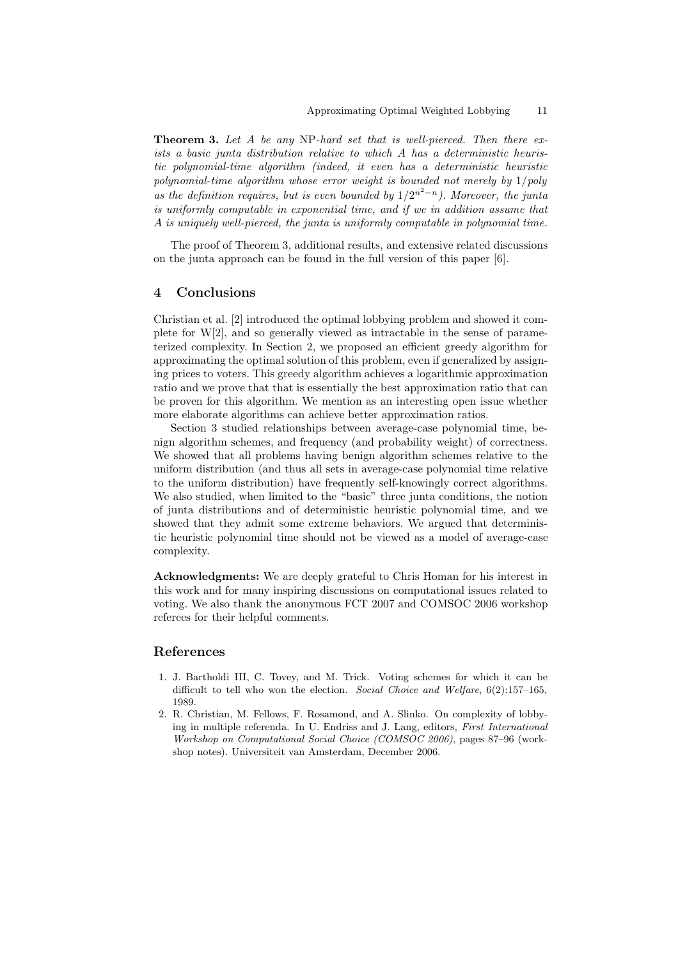**Theorem 3.** Let A be any NP-hard set that is well-pierced. Then there exists a basic junta distribution relative to which A has a deterministic heuristic polynomial-time algorithm (indeed, it even has a deterministic heuristic polynomial-time algorithm whose error weight is bounded not merely by 1/poly as the definition requires, but is even bounded by  $1/2^{n^2-n}$ ). Moreover, the junta is uniformly computable in exponential time, and if we in addition assume that A is uniquely well-pierced, the junta is uniformly computable in polynomial time.

The proof of Theorem 3, additional results, and extensive related discussions on the junta approach can be found in the full version of this paper [6].

### 4 Conclusions

Christian et al. [2] introduced the optimal lobbying problem and showed it complete for  $W[2]$ , and so generally viewed as intractable in the sense of parameterized complexity. In Section 2, we proposed an efficient greedy algorithm for approximating the optimal solution of this problem, even if generalized by assigning prices to voters. This greedy algorithm achieves a logarithmic approximation ratio and we prove that that is essentially the best approximation ratio that can be proven for this algorithm. We mention as an interesting open issue whether more elaborate algorithms can achieve better approximation ratios.

Section 3 studied relationships between average-case polynomial time, benign algorithm schemes, and frequency (and probability weight) of correctness. We showed that all problems having benign algorithm schemes relative to the uniform distribution (and thus all sets in average-case polynomial time relative to the uniform distribution) have frequently self-knowingly correct algorithms. We also studied, when limited to the "basic" three junta conditions, the notion of junta distributions and of deterministic heuristic polynomial time, and we showed that they admit some extreme behaviors. We argued that deterministic heuristic polynomial time should not be viewed as a model of average-case complexity.

Acknowledgments: We are deeply grateful to Chris Homan for his interest in this work and for many inspiring discussions on computational issues related to voting. We also thank the anonymous FCT 2007 and COMSOC 2006 workshop referees for their helpful comments.

## References

- 1. J. Bartholdi III, C. Tovey, and M. Trick. Voting schemes for which it can be difficult to tell who won the election. Social Choice and Welfare, 6(2):157–165, 1989.
- 2. R. Christian, M. Fellows, F. Rosamond, and A. Slinko. On complexity of lobbying in multiple referenda. In U. Endriss and J. Lang, editors, First International Workshop on Computational Social Choice (COMSOC 2006), pages 87–96 (workshop notes). Universiteit van Amsterdam, December 2006.